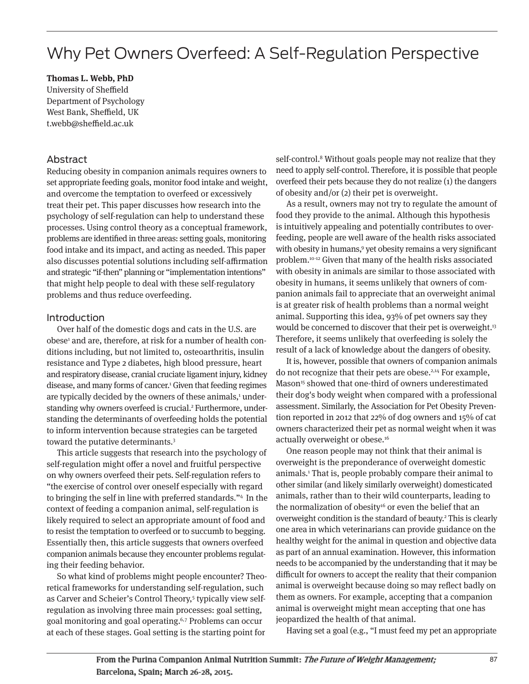# Why Pet Owners Overfeed: A Self-Regulation Perspective

**Thomas L. Webb, PhD**

University of Sheffield Department of Psychology West Bank, Sheffield, UK t.webb@sheffield.ac.uk

# Abstract

Reducing obesity in companion animals requires owners to set appropriate feeding goals, monitor food intake and weight, and overcome the temptation to overfeed or excessively treat their pet. This paper discusses how research into the psychology of self-regulation can help to understand these processes. Using control theory as a conceptual framework, problems are identified in three areas: setting goals, monitoring food intake and its impact, and acting as needed. This paper also discusses potential solutions including self-affirmation and strategic "if-then" planning or "implementation intentions" that might help people to deal with these self-regulatory problems and thus reduce overfeeding.

## Introduction

Over half of the domestic dogs and cats in the U.S. are obese<sup>1</sup> and are, therefore, at risk for a number of health conditions including, but not limited to, osteoarthritis, insulin resistance and Type 2 diabetes, high blood pressure, heart and respiratory disease, cranial cruciate ligament injury, kidney disease, and many forms of cancer.1 Given that feeding regimes are typically decided by the owners of these animals,<sup>1</sup> understanding why owners overfeed is crucial.<sup>2</sup> Furthermore, understanding the determinants of overfeeding holds the potential to inform intervention because strategies can be targeted toward the putative determinants.3

This article suggests that research into the psychology of self-regulation might offer a novel and fruitful perspective on why owners overfeed their pets. Self-regulation refers to "the exercise of control over oneself especially with regard to bringing the self in line with preferred standards."4 In the context of feeding a companion animal, self-regulation is likely required to select an appropriate amount of food and to resist the temptation to overfeed or to succumb to begging. Essentially then, this article suggests that owners overfeed companion animals because they encounter problems regulating their feeding behavior.

So what kind of problems might people encounter? Theo retical frameworks for understanding self-regulation, such as Carver and Scheier's Control Theory,<sup>5</sup> typically view selfregulation as involving three main processes: goal setting, goal monitoring and goal operating.6,7 Problems can occur at each of these stages. Goal setting is the starting point for

self-control.<sup>8</sup> Without goals people may not realize that they need to apply self-control. Therefore, it is possible that people overfeed their pets because they do not realize (1) the dangers of obesity and/or (2) their pet is overweight.

As a result, owners may not try to regulate the amount of food they provide to the animal. Although this hypothesis is intuitively appealing and potentially contributes to overfeeding, people are well aware of the health risks associated with obesity in humans,<sup>9</sup> yet obesity remains a very significant problem.10-12 Given that many of the health risks associated with obesity in animals are similar to those associated with obesity in humans, it seems unlikely that owners of companion animals fail to appreciate that an overweight animal is at greater risk of health problems than a normal weight animal. Supporting this idea, 93% of pet owners say they would be concerned to discover that their pet is overweight.<sup>13</sup> Therefore, it seems unlikely that overfeeding is solely the result of a lack of knowledge about the dangers of obesity.

It is, however, possible that owners of companion animals do not recognize that their pets are obese.2,14 For example, Mason<sup>15</sup> showed that one-third of owners underestimated their dog's body weight when compared with a professional assessment. Similarly, the Association for Pet Obesity Prevention reported in 2012 that 22% of dog owners and 15% of cat owners characterized their pet as normal weight when it was actually overweight or obese.<sup>16</sup>

One reason people may not think that their animal is overweight is the preponderance of overweight domestic animals.1 That is, people probably compare their animal to other similar (and likely similarly overweight) domesticated animals, rather than to their wild counterparts, leading to the normalization of obesity<sup>16</sup> or even the belief that an overweight condition is the standard of beauty.2 This is clearly one area in which veterinarians can provide guidance on the healthy weight for the animal in question and objective data as part of an annual examination. However, this information needs to be accompanied by the understanding that it may be difficult for owners to accept the reality that their companion animal is overweight because doing so may reflect badly on them as owners. For example, accepting that a companion animal is overweight might mean accepting that one has jeopardized the health of that animal.

Having set a goal (e.g., "I must feed my pet an appropriate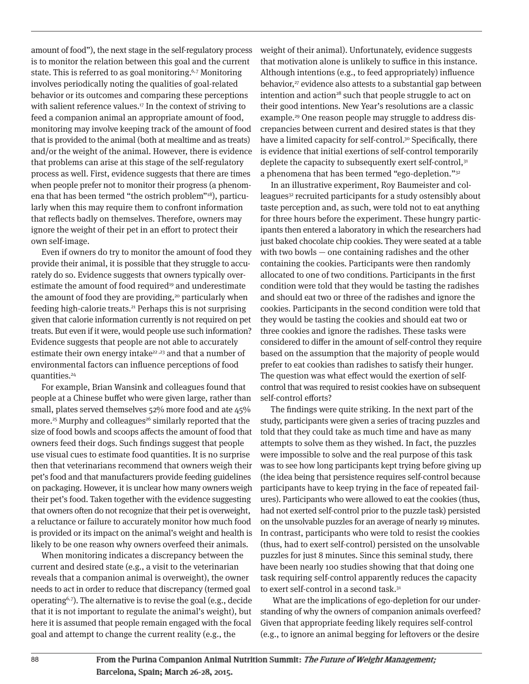amount of food"), the next stage in the self-regulatory process is to monitor the relation between this goal and the current state. This is referred to as goal monitoring.<sup>6,7</sup> Monitoring involves periodically noting the qualities of goal-related behavior or its outcomes and comparing these perceptions with salient reference values.<sup>17</sup> In the context of striving to feed a companion animal an appropriate amount of food, monitoring may involve keeping track of the amount of food that is provided to the animal (both at mealtime and as treats) and/or the weight of the animal. However, there is evidence that problems can arise at this stage of the self-regulatory process as well. First, evidence suggests that there are times when people prefer not to monitor their progress (a phenomena that has been termed "the ostrich problem"18), particularly when this may require them to confront information that reflects badly on themselves. Therefore, owners may ignore the weight of their pet in an effort to protect their own self-image.

Even if owners do try to monitor the amount of food they provide their animal, it is possible that they struggle to accurately do so. Evidence suggests that owners typically overestimate the amount of food required<sup>19</sup> and underestimate the amount of food they are providing, $20$  particularly when feeding high-calorie treats.21 Perhaps this is not surprising given that calorie information currently is not required on pet treats. But even if it were, would people use such information? Evidence suggests that people are not able to accurately estimate their own energy intake<sup>22,23</sup> and that a number of environmental factors can influence perceptions of food quantities.24

For example, Brian Wansink and colleagues found that people at a Chinese buffet who were given large, rather than small, plates served themselves 52% more food and ate 45% more.<sup>25</sup> Murphy and colleagues<sup>26</sup> similarly reported that the size of food bowls and scoops affects the amount of food that owners feed their dogs. Such findings suggest that people use visual cues to estimate food quantities. It is no surprise then that veterinarians recommend that owners weigh their pet's food and that manufacturers provide feeding guidelines on packaging. However, it is unclear how many owners weigh their pet's food. Taken together with the evidence suggesting that owners often do not recognize that their pet is overweight, a reluctance or failure to accurately monitor how much food is provided or its impact on the animal's weight and health is likely to be one reason why owners overfeed their animals.

When monitoring indicates a discrepancy between the current and desired state (e.g., a visit to the veterinarian reveals that a companion animal is overweight), the owner needs to act in order to reduce that discrepancy (termed goal operating6,7). The alternative is to revise the goal (e.g., decide that it is not important to regulate the animal's weight), but here it is assumed that people remain engaged with the focal goal and attempt to change the current reality (e.g., the

weight of their animal). Unfortunately, evidence suggests that motivation alone is unlikely to suffice in this instance. Although intentions (e.g., to feed appropriately) influence behavior,<sup>27</sup> evidence also attests to a substantial gap between intention and action<sup>28</sup> such that people struggle to act on their good intentions. New Year's resolutions are a classic example.<sup>29</sup> One reason people may struggle to address discrepancies between current and desired states is that they have a limited capacity for self-control.<sup>30</sup> Specifically, there is evidence that initial exertions of self-control temporarily deplete the capacity to subsequently exert self-control,<sup>31</sup> a phenomena that has been termed "ego-depletion."32

In an illustrative experiment, Roy Baumeister and colleagues<sup>32</sup> recruited participants for a study ostensibly about taste perception and, as such, were told not to eat anything for three hours before the experiment. These hungry participants then entered a laboratory in which the researchers had just baked chocolate chip cookies. They were seated at a table with two bowls — one containing radishes and the other containing the cookies. Participants were then randomly allocated to one of two conditions. Participants in the first condition were told that they would be tasting the radishes and should eat two or three of the radishes and ignore the cookies. Participants in the second condition were told that they would be tasting the cookies and should eat two or three cookies and ignore the radishes. These tasks were considered to differ in the amount of self-control they require based on the assumption that the majority of people would prefer to eat cookies than radishes to satisfy their hunger. The question was what effect would the exertion of selfcontrol that was required to resist cookies have on subsequent self-control efforts?

The findings were quite striking. In the next part of the study, participants were given a series of tracing puzzles and told that they could take as much time and have as many attempts to solve them as they wished. In fact, the puzzles were impossible to solve and the real purpose of this task was to see how long participants kept trying before giving up (the idea being that persistence requires self-control because participants have to keep trying in the face of repeated failures). Participants who were allowed to eat the cookies (thus, had not exerted self-control prior to the puzzle task) persisted on the unsolvable puzzles for an average of nearly 19 minutes. In contrast, participants who were told to resist the cookies (thus, had to exert self-control) persisted on the unsolvable puzzles for just 8 minutes. Since this seminal study, there have been nearly 100 studies showing that that doing one task requiring self-control apparently reduces the capacity to exert self-control in a second task.<sup>31</sup>

What are the implications of ego-depletion for our understanding of why the owners of companion animals overfeed? Given that appropriate feeding likely requires self-control (e.g., to ignore an animal begging for leftovers or the desire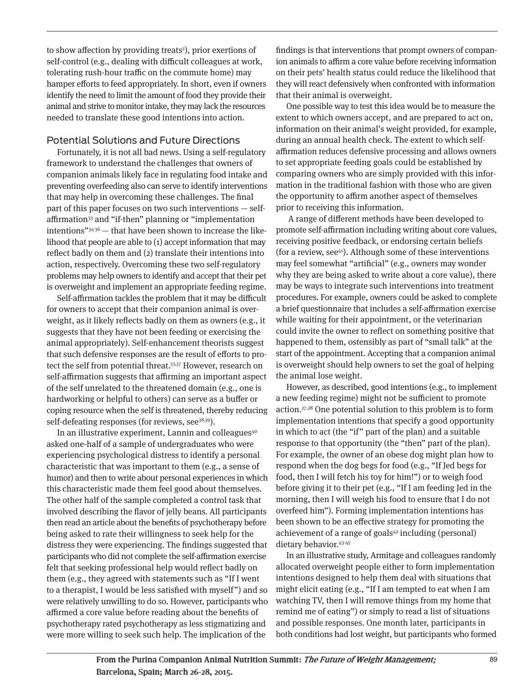to show affection by providing treats<sup>2</sup>), prior exertions of self-control (e.g., dealing with difficult colleagues at work, tolerating rush-hour traffic on the commute home) may hamper efforts to feed appropriately. In short, even if owners identify the need to limit the amount of food they provide their animal and strive to monitor intake, they may lack the resources needed to translate these good intentions into action.

# Potential Solutions and Future Directions

Fortunately, it is not all bad news. Using a self-regulatory framework to understand the challenges that owners of companion animals likely face in regulating food intake and preventing overfeeding also can serve to identify interventions that may help in overcoming these challenges. The final part of this paper focuses on two such interventions — selfaffirmation<sup>33</sup> and "if-then" planning or "implementation intentions" $34-36$  — that have been shown to increase the likelihood that people are able to (1) accept information that may reflect badly on them and (2) translate their intentions into action, respectively. Overcoming these two self-regulatory problems may help owners to identify and accept that their pet is overweight and implement an appropriate feeding regime.

Self-affirmation tackles the problem that it may be difficult for owners to accept that their companion animal is overweight, as it likely reflects badly on them as owners (e.g., it suggests that they have not been feeding or exercising the animal appropriately). Self-enhancement theorists suggest that such defensive responses are the result of efforts to protect the self from potential threat.<sup>33,37</sup> However, research on self-affirmation suggests that affirming an important aspect of the self unrelated to the threatened domain (e.g., one is hardworking or helpful to others) can serve as a buffer or coping resource when the self is threatened, thereby reducing self-defeating responses (for reviews, see<sup>38,39</sup>).

In an illustrative experiment, Lannin and colleagues $40^\circ$ asked one-half of a sample of undergraduates who were experiencing psychological distress to identify a personal characteristic that was important to them (e.g., a sense of humor) and then to write about personal experiences in which this characteristic made them feel good about themselves. The other half of the sample completed a control task that involved describing the flavor of jelly beans. All participants then read an article about the benefits of psychotherapy before being asked to rate their willingness to seek help for the distress they were experiencing. The findings suggested that participants who did not complete the self-affirmation exercise felt that seeking professional help would reflect badly on them (e.g., they agreed with statements such as "If I went to a therapist, I would be less satisfied with myself") and so were relatively unwilling to do so. However, participants who affirmed a core value before reading about the benefits of psychotherapy rated psychotherapy as less stigmatizing and were more willing to seek such help. The implication of the

findings is that interventions that prompt owners of companion animals to affirm a core value before receiving information on their pets' health status could reduce the likelihood that they will react defensively when confronted with information that their animal is overweight.

One possible way to test this idea would be to measure the extent to which owners accept, and are prepared to act on, information on their animal's weight provided, for example, during an annual health check. The extent to which selfaffirmation reduces defensive processing and allows owners to set appropriate feeding goals could be established by comparing owners who are simply provided with this information in the traditional fashion with those who are given the opportunity to affirm another aspect of themselves prior to receiving this information.

A range of different methods have been developed to promote self-affirmation including writing about core values, receiving positive feedback, or endorsing certain beliefs (for a review, see $41$ ). Although some of these interventions may feel somewhat "artificial" (e.g., owners may wonder why they are being asked to write about a core value), there may be ways to integrate such interventions into treatment procedures. For example, owners could be asked to complete a brief questionnaire that includes a self-affirmation exercise while waiting for their appointment, or the veterinarian could invite the owner to reflect on something positive that happened to them, ostensibly as part of "small talk" at the start of the appointment. Accepting that a companion animal is overweight should help owners to set the goal of helping the animal lose weight.

However, as described, good intentions (e.g., to implement a new feeding regime) might not be sufficient to promote action.27,28 One potential solution to this problem is to form implementation intentions that specify a good opportunity in which to act (the "if" part of the plan) and a suitable response to that opportunity (the "then" part of the plan). For example, the owner of an obese dog might plan how to respond when the dog begs for food (e.g., "If Jed begs for food, then I will fetch his toy for him!") or to weigh food before giving it to their pet (e.g., "If I am feeding Jed in the morning, then I will weigh his food to ensure that I do not overfeed him"). Forming implementation intentions has been shown to be an effective strategy for promoting the achievement of a range of goals $42$  including (personal) dietary behavior.43-45

In an illustrative study, Armitage and colleagues randomly allocated overweight people either to form implementation intentions designed to help them deal with situations that might elicit eating (e.g., "If I am tempted to eat when I am watching TV, then I will remove things from my home that remind me of eating") or simply to read a list of situations and possible responses. One month later, participants in both conditions had lost weight, but participants who formed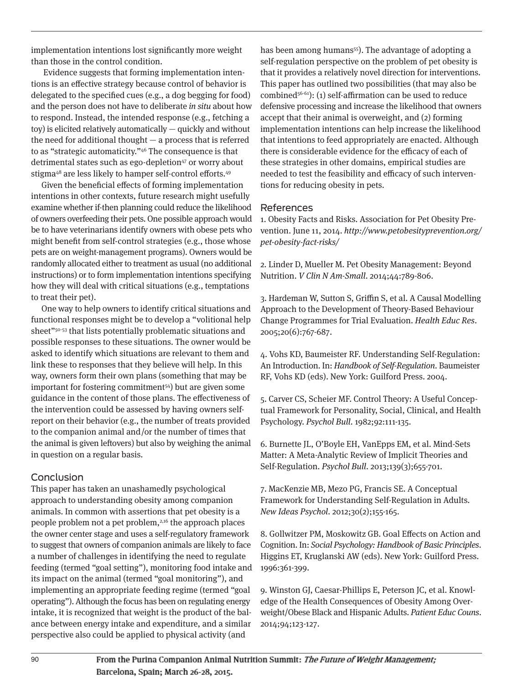implementation intentions lost significantly more weight than those in the control condition.

Evidence suggests that forming implementation intentions is an effective strategy because control of behavior is delegated to the specified cues (e.g., a dog begging for food) and the person does not have to deliberate in situ about how to respond. Instead, the intended response (e.g., fetching a toy) is elicited relatively automatically — quickly and without the need for additional thought  $-$  a process that is referred to as "strategic automaticity."46 The consequence is that detrimental states such as ego-depletion<sup>47</sup> or worry about stigma<sup>48</sup> are less likely to hamper self-control efforts.<sup>49</sup>

Given the beneficial effects of forming implementation intentions in other contexts, future research might usefully examine whether if-then planning could reduce the likelihood of owners overfeeding their pets. One possible approach would be to have veterinarians identify owners with obese pets who might benefit from self-control strategies (e.g., those whose pets are on weight-management programs). Owners would be randomly allocated either to treatment as usual (no additional instructions) or to form implementation intentions specifying how they will deal with critical situations (e.g., temptations to treat their pet).

One way to help owners to identify critical situations and functional responses might be to develop a "volitional help sheet"<sup>50-53</sup> that lists potentially problematic situations and possible responses to these situations. The owner would be asked to identify which situations are relevant to them and link these to responses that they believe will help. In this way, owners form their own plans (something that may be important for fostering commitment54) but are given some guidance in the content of those plans. The effectiveness of the intervention could be assessed by having owners selfreport on their behavior (e.g., the number of treats provided to the companion animal and/or the number of times that the animal is given leftovers) but also by weighing the animal in question on a regular basis.

## **Conclusion**

This paper has taken an unashamedly psychological approach to understanding obesity among companion animals. In common with assertions that pet obesity is a people problem not a pet problem,<sup>2,16</sup> the approach places the owner center stage and uses a self-regulatory framework to suggest that owners of companion animals are likely to face a number of challenges in identifying the need to regulate feeding (termed "goal setting"), monitoring food intake and its impact on the animal (termed "goal monitoring"), and implementing an appropriate feeding regime (termed "goal operating"). Although the focus has been on regulating energy intake, it is recognized that weight is the product of the balance between energy intake and expenditure, and a similar perspective also could be applied to physical activity (and

has been among humans<sup>55</sup>). The advantage of adopting a self-regulation perspective on the problem of pet obesity is that it provides a relatively novel direction for interventions. This paper has outlined two possibilities (that may also be combined<sup>56-61</sup>): (1) self-affirmation can be used to reduce defensive processing and increase the likelihood that owners accept that their animal is overweight, and (2) forming implementation intentions can help increase the likelihood that intentions to feed appropriately are enacted. Although there is considerable evidence for the efficacy of each of these strategies in other domains, empirical studies are needed to test the feasibility and efficacy of such interventions for reducing obesity in pets.

#### References

1. Obesity Facts and Risks. Association for Pet Obesity Prevention. June 11, 2014. http://www.petobesityprevention.org/ pet-obesity-fact-risks/

2. Linder D, Mueller M. Pet Obesity Management: Beyond Nutrition. *V Clin N Am-Small.* 2014;44:789-806.

3. Hardeman W, Sutton S, Griffin S, et al. A Causal Modelling Approach to the Development of Theory-Based Behaviour Change Programmes for Trial Evaluation. Health Educ Res. 2005;20(6):767-687.

4. Vohs KD, Baumeister RF. Understanding Self-Regulation: An Introduction. In: Handbook of Self-Regulation. Baumeister RF, Vohs KD (eds). New York: Guilford Press. 2004.

5. Carver CS, Scheier MF. Control Theory: A Useful Conceptual Framework for Personality, Social, Clinical, and Health Psychology. Psychol Bull. 1982;92:111-135.

6. Burnette JL, O'Boyle EH, VanEpps EM, et al. Mind-Sets Matter: A Meta-Analytic Review of Implicit Theories and Self-Regulation. Psychol Bull. 2013;139(3);655-701.

7. MacKenzie MB, Mezo PG, Francis SE. A Conceptual Framework for Understanding Self-Regulation in Adults. New Ideas Psychol. 2012;30(2);155-165.

8. Gollwitzer PM, Moskowitz GB. Goal Effects on Action and Cognition. In: Social Psychology: Handbook of Basic Principles. Higgins ET, Kruglanski AW (eds). New York: Guilford Press. 1996:361-399.

9. Winston GJ, Caesar-Phillips E, Peterson JC, et al. Knowledge of the Health Consequences of Obesity Among Overweight/Obese Black and Hispanic Adults. Patient Educ Couns. 2014;94;123-127.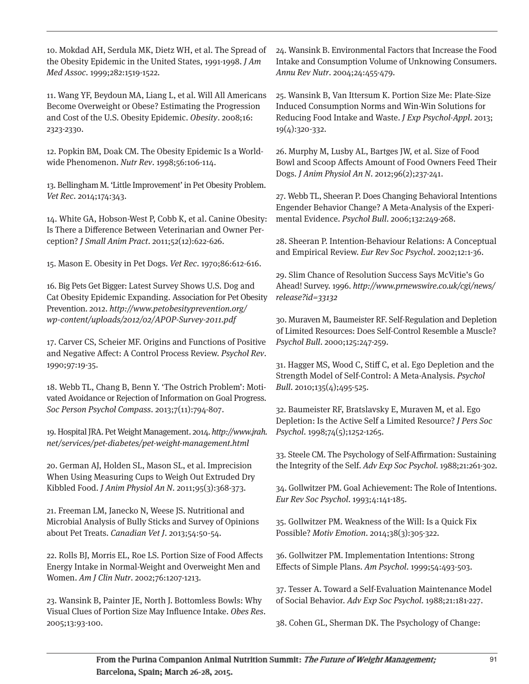10. Mokdad AH, Serdula MK, Dietz WH, et al. The Spread of the Obesity Epidemic in the United States, 1991-1998. J Am Med Assoc. 1999;282:1519-1522.

11. Wang YF, Beydoun MA, Liang L, et al. Will All Americans Become Overweight or Obese? Estimating the Progression and Cost of the U.S. Obesity Epidemic. Obesity. 2008;16: 2323-2330.

12. Popkin BM, Doak CM. The Obesity Epidemic Is a Worldwide Phenomenon. Nutr Rev. 1998;56:106-114.

13. Bellingham M. 'Little Improvement' in Pet Obesity Problem. Vet Rec. 2014;174:343.

14. White GA, Hobson-West P, Cobb K, et al. Canine Obesity: Is There a Difference Between Veterinarian and Owner Perception? J Small Anim Pract. 2011;52(12):622-626.

15. Mason E. Obesity in Pet Dogs. Vet Rec. 1970;86:612-616.

16. Big Pets Get Bigger: Latest Survey Shows U.S. Dog and Cat Obesity Epidemic Expanding. Association for Pet Obesity Prevention. 2012. http://www.petobesityprevention.org/ wp-content/uploads/2012/02/APOP-Survey-2011.pdf

17. Carver CS, Scheier MF. Origins and Functions of Positive and Negative Affect: A Control Process Review. Psychol Rev. 1990;97:19-35.

18. Webb TL, Chang B, Benn Y. 'The Ostrich Problem': Motivated Avoidance or Rejection of Information on Goal Progress. Soc Person Psychol Compass. 2013;7(11):794-807.

19. Hospital JRA. Pet Weight Management. 2014. http://www.jrah. net/services/pet-diabetes/pet-weight-management.html

20. German AJ, Holden SL, Mason SL, et al. Imprecision When Using Measuring Cups to Weigh Out Extruded Dry Kibbled Food. J Anim Physiol An N. 2011;95(3):368-373.

21. Freeman LM, Janecko N, Weese JS. Nutritional and Microbial Analysis of Bully Sticks and Survey of Opinions about Pet Treats. Canadian Vet J. 2013;54:50-54.

22. Rolls BJ, Morris EL, Roe LS. Portion Size of Food Affects Energy Intake in Normal-Weight and Overweight Men and Women. Am J Clin Nutr. 2002;76:1207-1213.

23. Wansink B, Painter JE, North J. Bottomless Bowls: Why Visual Clues of Portion Size May Influence Intake. Obes Res. 2005;13:93-100.

24. Wansink B. Environmental Factors that Increase the Food Intake and Consumption Volume of Unknowing Consumers. Annu Rev Nutr. 2004;24:455-479.

25. Wansink B, Van Ittersum K. Portion Size Me: Plate-Size Induced Consumption Norms and Win-Win Solutions for Reducing Food Intake and Waste. J Exp Psychol-Appl. 2013; 19(4):320-332.

26. Murphy M, Lusby AL, Bartges JW, et al. Size of Food Bowl and Scoop Affects Amount of Food Owners Feed Their Dogs. J Anim Physiol An N. 2012;96(2);237-241.

27. Webb TL, Sheeran P. Does Changing Behavioral Intentions Engender Behavior Change? A Meta-Analysis of the Experimental Evidence. Psychol Bull. 2006;132:249-268.

28. Sheeran P. Intention-Behaviour Relations: A Conceptual and Empirical Review. Eur Rev Soc Psychol. 2002;12:1-36.

29. Slim Chance of Resolution Success Says McVitie's Go Ahead! Survey. 1996. http://www.prnewswire.co.uk/cgi/news/ release?id=33132

30. Muraven M, Baumeister RF. Self-Regulation and Depletion of Limited Resources: Does Self-Control Resemble a Muscle? Psychol Bull. 2000;125:247-259.

31. Hagger MS, Wood C, Stiff C, et al. Ego Depletion and the Strength Model of Self-Control: A Meta-Analysis. Psychol Bull. 2010;135(4);495-525.

32. Baumeister RF, Bratslavsky E, Muraven M, et al. Ego Depletion: Is the Active Self a Limited Resource? J Pers Soc Psychol. 1998;74(5);1252-1265.

33. Steele CM. The Psychology of Self-Affirmation: Sustaining the Integrity of the Self. Adv Exp Soc Psychol. 1988;21:261-302.

34. Gollwitzer PM. Goal Achievement: The Role of Intentions. Eur Rev Soc Psychol. 1993;4:141-185.

35. Gollwitzer PM. Weakness of the Will: Is a Quick Fix Possible? *Motiv Emotion.* 2014;38(3):305-322.

36. Gollwitzer PM. Implementation Intentions: Strong Effects of Simple Plans. Am Psychol. 1999;54:493-503.

37. Tesser A. Toward a Self-Evaluation Maintenance Model of Social Behavior. Adv Exp Soc Psychol. 1988;21:181-227.

38. Cohen GL, Sherman DK. The Psychology of Change: